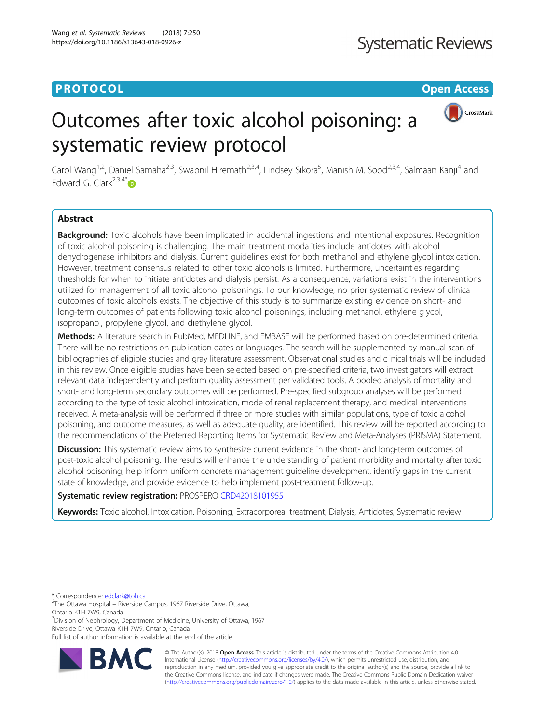## **PROTOCOL CONSUMING THE OPEN ACCESS**

CrossMark

# Outcomes after toxic alcohol poisoning: a systematic review protocol

Carol Wang<sup>1,2</sup>, Daniel Samaha<sup>2,3</sup>, Swapnil Hiremath<sup>2,3,4</sup>, Lindsey Sikora<sup>5</sup>, Manish M. Sood<sup>2,3,4</sup>, Salmaan Kanji<sup>4</sup> and Edward G. Clark<sup>2,3,4\*</sup> $\bullet$ 

### Abstract

Background: Toxic alcohols have been implicated in accidental ingestions and intentional exposures. Recognition of toxic alcohol poisoning is challenging. The main treatment modalities include antidotes with alcohol dehydrogenase inhibitors and dialysis. Current guidelines exist for both methanol and ethylene glycol intoxication. However, treatment consensus related to other toxic alcohols is limited. Furthermore, uncertainties regarding thresholds for when to initiate antidotes and dialysis persist. As a consequence, variations exist in the interventions utilized for management of all toxic alcohol poisonings. To our knowledge, no prior systematic review of clinical outcomes of toxic alcohols exists. The objective of this study is to summarize existing evidence on short- and long-term outcomes of patients following toxic alcohol poisonings, including methanol, ethylene glycol, isopropanol, propylene glycol, and diethylene glycol.

Methods: A literature search in PubMed, MEDLINE, and EMBASE will be performed based on pre-determined criteria. There will be no restrictions on publication dates or languages. The search will be supplemented by manual scan of bibliographies of eligible studies and gray literature assessment. Observational studies and clinical trials will be included in this review. Once eligible studies have been selected based on pre-specified criteria, two investigators will extract relevant data independently and perform quality assessment per validated tools. A pooled analysis of mortality and short- and long-term secondary outcomes will be performed. Pre-specified subgroup analyses will be performed according to the type of toxic alcohol intoxication, mode of renal replacement therapy, and medical interventions received. A meta-analysis will be performed if three or more studies with similar populations, type of toxic alcohol poisoning, and outcome measures, as well as adequate quality, are identified. This review will be reported according to the recommendations of the Preferred Reporting Items for Systematic Review and Meta-Analyses (PRISMA) Statement.

Discussion: This systematic review aims to synthesize current evidence in the short- and long-term outcomes of post-toxic alcohol poisoning. The results will enhance the understanding of patient morbidity and mortality after toxic alcohol poisoning, help inform uniform concrete management guideline development, identify gaps in the current state of knowledge, and provide evidence to help implement post-treatment follow-up.

### Systematic review registration: PROSPERO [CRD42018101955](http://www.crd.york.ac.uk/PROSPERO/display_record.php?ID=CRD42018101955)

Keywords: Toxic alcohol, Intoxication, Poisoning, Extracorporeal treatment, Dialysis, Antidotes, Systematic review

<sup>3</sup>Division of Nephrology, Department of Medicine, University of Ottawa, 1967 Riverside Drive, Ottawa K1H 7W9, Ontario, Canada

Full list of author information is available at the end of the article



© The Author(s). 2018 Open Access This article is distributed under the terms of the Creative Commons Attribution 4.0 International License [\(http://creativecommons.org/licenses/by/4.0/](http://creativecommons.org/licenses/by/4.0/)), which permits unrestricted use, distribution, and reproduction in any medium, provided you give appropriate credit to the original author(s) and the source, provide a link to the Creative Commons license, and indicate if changes were made. The Creative Commons Public Domain Dedication waiver [\(http://creativecommons.org/publicdomain/zero/1.0/](http://creativecommons.org/publicdomain/zero/1.0/)) applies to the data made available in this article, unless otherwise stated.

<sup>\*</sup> Correspondence: [edclark@toh.ca](mailto:edclark@toh.ca) <sup>2</sup>

 $2$ The Ottawa Hospital – Riverside Campus, 1967 Riverside Drive, Ottawa, Ontario K1H 7W9, Canada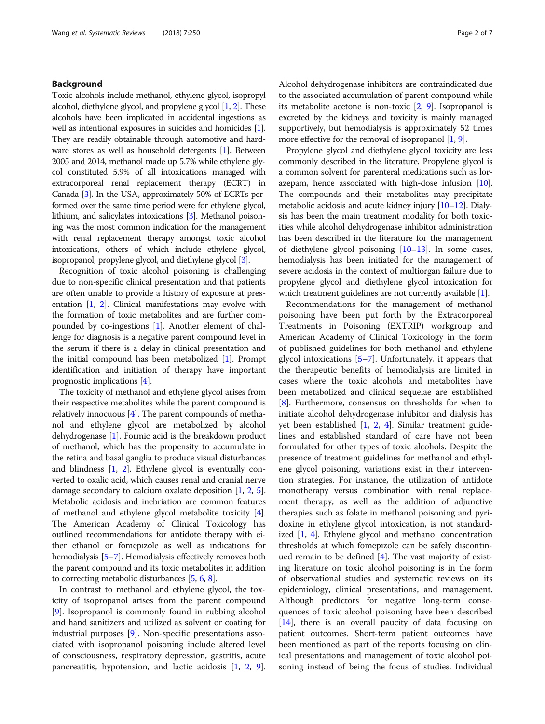#### Background

Toxic alcohols include methanol, ethylene glycol, isopropyl alcohol, diethylene glycol, and propylene glycol [\[1](#page-5-0), [2](#page-5-0)]. These alcohols have been implicated in accidental ingestions as well as intentional exposures in suicides and homicides [[1](#page-5-0)]. They are readily obtainable through automotive and hardware stores as well as household detergents [\[1](#page-5-0)]. Between 2005 and 2014, methanol made up 5.7% while ethylene glycol constituted 5.9% of all intoxications managed with extracorporeal renal replacement therapy (ECRT) in Canada [\[3\]](#page-5-0). In the USA, approximately 50% of ECRTs performed over the same time period were for ethylene glycol, lithium, and salicylates intoxications [\[3](#page-5-0)]. Methanol poisoning was the most common indication for the management with renal replacement therapy amongst toxic alcohol intoxications, others of which include ethylene glycol, isopropanol, propylene glycol, and diethylene glycol [[3](#page-5-0)].

Recognition of toxic alcohol poisoning is challenging due to non-specific clinical presentation and that patients are often unable to provide a history of exposure at presentation [\[1](#page-5-0), [2\]](#page-5-0). Clinical manifestations may evolve with the formation of toxic metabolites and are further compounded by co-ingestions [\[1](#page-5-0)]. Another element of challenge for diagnosis is a negative parent compound level in the serum if there is a delay in clinical presentation and the initial compound has been metabolized [[1\]](#page-5-0). Prompt identification and initiation of therapy have important prognostic implications [\[4\]](#page-5-0).

The toxicity of methanol and ethylene glycol arises from their respective metabolites while the parent compound is relatively innocuous [\[4](#page-5-0)]. The parent compounds of methanol and ethylene glycol are metabolized by alcohol dehydrogenase [\[1](#page-5-0)]. Formic acid is the breakdown product of methanol, which has the propensity to accumulate in the retina and basal ganglia to produce visual disturbances and blindness [[1,](#page-5-0) [2](#page-5-0)]. Ethylene glycol is eventually converted to oxalic acid, which causes renal and cranial nerve damage secondary to calcium oxalate deposition [\[1,](#page-5-0) [2](#page-5-0), [5](#page-5-0)]. Metabolic acidosis and inebriation are common features of methanol and ethylene glycol metabolite toxicity [[4](#page-5-0)]. The American Academy of Clinical Toxicology has outlined recommendations for antidote therapy with either ethanol or fomepizole as well as indications for hemodialysis [[5](#page-5-0)–[7](#page-5-0)]. Hemodialysis effectively removes both the parent compound and its toxic metabolites in addition to correcting metabolic disturbances [\[5](#page-5-0), [6,](#page-5-0) [8](#page-5-0)].

In contrast to methanol and ethylene glycol, the toxicity of isopropanol arises from the parent compound [[9\]](#page-5-0). Isopropanol is commonly found in rubbing alcohol and hand sanitizers and utilized as solvent or coating for industrial purposes [\[9](#page-5-0)]. Non-specific presentations associated with isopropanol poisoning include altered level of consciousness, respiratory depression, gastritis, acute pancreatitis, hypotension, and lactic acidosis [[1,](#page-5-0) [2,](#page-5-0) [9](#page-5-0)]. Alcohol dehydrogenase inhibitors are contraindicated due to the associated accumulation of parent compound while its metabolite acetone is non-toxic [\[2](#page-5-0), [9](#page-5-0)]. Isopropanol is excreted by the kidneys and toxicity is mainly managed supportively, but hemodialysis is approximately 52 times more effective for the removal of isopropanol  $[1, 9]$  $[1, 9]$  $[1, 9]$ .

Propylene glycol and diethylene glycol toxicity are less commonly described in the literature. Propylene glycol is a common solvent for parenteral medications such as lorazepam, hence associated with high-dose infusion [[10](#page-5-0)]. The compounds and their metabolites may precipitate metabolic acidosis and acute kidney injury [\[10](#page-5-0)–[12](#page-5-0)]. Dialysis has been the main treatment modality for both toxicities while alcohol dehydrogenase inhibitor administration has been described in the literature for the management of diethylene glycol poisoning [\[10](#page-5-0)–[13](#page-5-0)]. In some cases, hemodialysis has been initiated for the management of severe acidosis in the context of multiorgan failure due to propylene glycol and diethylene glycol intoxication for which treatment guidelines are not currently available [\[1](#page-5-0)].

Recommendations for the management of methanol poisoning have been put forth by the Extracorporeal Treatments in Poisoning (EXTRIP) workgroup and American Academy of Clinical Toxicology in the form of published guidelines for both methanol and ethylene glycol intoxications  $[5-7]$  $[5-7]$  $[5-7]$ . Unfortunately, it appears that the therapeutic benefits of hemodialysis are limited in cases where the toxic alcohols and metabolites have been metabolized and clinical sequelae are established [[8\]](#page-5-0). Furthermore, consensus on thresholds for when to initiate alcohol dehydrogenase inhibitor and dialysis has yet been established [\[1](#page-5-0), [2,](#page-5-0) [4](#page-5-0)]. Similar treatment guidelines and established standard of care have not been formulated for other types of toxic alcohols. Despite the presence of treatment guidelines for methanol and ethylene glycol poisoning, variations exist in their intervention strategies. For instance, the utilization of antidote monotherapy versus combination with renal replacement therapy, as well as the addition of adjunctive therapies such as folate in methanol poisoning and pyridoxine in ethylene glycol intoxication, is not standardized [\[1](#page-5-0), [4](#page-5-0)]. Ethylene glycol and methanol concentration thresholds at which fomepizole can be safely discontinued remain to be defined  $[4]$  $[4]$ . The vast majority of existing literature on toxic alcohol poisoning is in the form of observational studies and systematic reviews on its epidemiology, clinical presentations, and management. Although predictors for negative long-term consequences of toxic alcohol poisoning have been described [[14\]](#page-5-0), there is an overall paucity of data focusing on patient outcomes. Short-term patient outcomes have been mentioned as part of the reports focusing on clinical presentations and management of toxic alcohol poisoning instead of being the focus of studies. Individual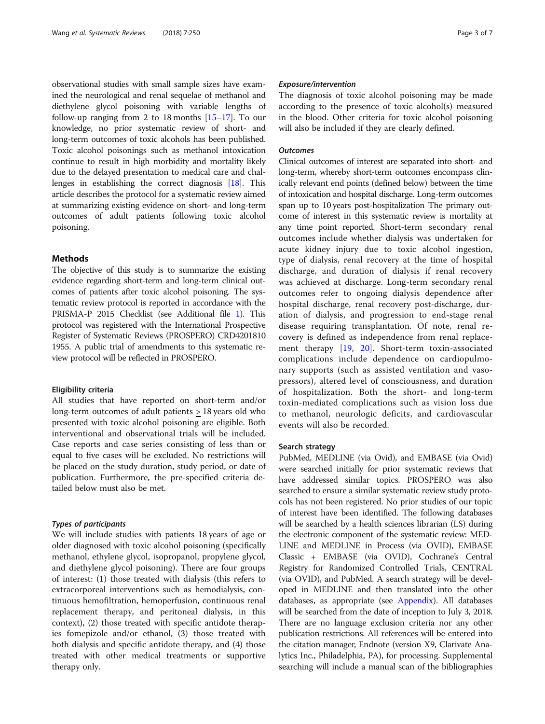observational studies with small sample sizes have examined the neurological and renal sequelae of methanol and diethylene glycol poisoning with variable lengths of follow-up ranging from 2 to 18 months [[15](#page-5-0)–[17\]](#page-5-0). To our knowledge, no prior systematic review of short- and long-term outcomes of toxic alcohols has been published. Toxic alcohol poisonings such as methanol intoxication continue to result in high morbidity and mortality likely due to the delayed presentation to medical care and challenges in establishing the correct diagnosis [\[18\]](#page-5-0). This article describes the protocol for a systematic review aimed at summarizing existing evidence on short- and long-term outcomes of adult patients following toxic alcohol poisoning.

### Methods

The objective of this study is to summarize the existing evidence regarding short-term and long-term clinical outcomes of patients after toxic alcohol poisoning. The systematic review protocol is reported in accordance with the PRISMA-P 2015 Checklist (see Additional file [1](#page-5-0)). This protocol was registered with the International Prospective Register of Systematic Reviews (PROSPERO) CRD4201810 1955. A public trial of amendments to this systematic review protocol will be reflected in PROSPERO.

#### Eligibility criteria

All studies that have reported on short-term and/or long-term outcomes of adult patients > 18 years old who presented with toxic alcohol poisoning are eligible. Both interventional and observational trials will be included. Case reports and case series consisting of less than or equal to five cases will be excluded. No restrictions will be placed on the study duration, study period, or date of publication. Furthermore, the pre-specified criteria detailed below must also be met.

We will include studies with patients 18 years of age or older diagnosed with toxic alcohol poisoning (specifically methanol, ethylene glycol, isopropanol, propylene glycol, and diethylene glycol poisoning). There are four groups of interest: (1) those treated with dialysis (this refers to extracorporeal interventions such as hemodialysis, continuous hemofiltration, hemoperfusion, continuous renal replacement therapy, and peritoneal dialysis, in this context), (2) those treated with specific antidote therapies fomepizole and/or ethanol, (3) those treated with both dialysis and specific antidote therapy, and (4) those treated with other medical treatments or supportive therapy only.

The diagnosis of toxic alcohol poisoning may be made according to the presence of toxic alcohol(s) measured in the blood. Other criteria for toxic alcohol poisoning will also be included if they are clearly defined.

Clinical outcomes of interest are separated into short- and long-term, whereby short-term outcomes encompass clinically relevant end points (defined below) between the time of intoxication and hospital discharge. Long-term outcomes span up to 10 years post-hospitalization The primary outcome of interest in this systematic review is mortality at any time point reported. Short-term secondary renal outcomes include whether dialysis was undertaken for acute kidney injury due to toxic alcohol ingestion, type of dialysis, renal recovery at the time of hospital discharge, and duration of dialysis if renal recovery was achieved at discharge. Long-term secondary renal outcomes refer to ongoing dialysis dependence after hospital discharge, renal recovery post-discharge, duration of dialysis, and progression to end-stage renal disease requiring transplantation. Of note, renal recovery is defined as independence from renal replacement therapy [[19,](#page-5-0) [20\]](#page-5-0). Short-term toxin-associated complications include dependence on cardiopulmonary supports (such as assisted ventilation and vasopressors), altered level of consciousness, and duration of hospitalization. Both the short- and long-term toxin-mediated complications such as vision loss due to methanol, neurologic deficits, and cardiovascular events will also be recorded.

#### Search strategy

PubMed, MEDLINE (via Ovid), and EMBASE (via Ovid) were searched initially for prior systematic reviews that have addressed similar topics. PROSPERO was also searched to ensure a similar systematic review study protocols has not been registered. No prior studies of our topic of interest have been identified. The following databases will be searched by a health sciences librarian (LS) during the electronic component of the systematic review: MED-LINE and MEDLINE in Process (via OVID), EMBASE Classic + EMBASE (via OVID), Cochrane's Central Registry for Randomized Controlled Trials, CENTRAL (via OVID), and PubMed. A search strategy will be developed in MEDLINE and then translated into the other databases, as appropriate (see [Appendix](#page-4-0)). All databases will be searched from the date of inception to July 3, 2018. There are no language exclusion criteria nor any other publication restrictions. All references will be entered into the citation manager, Endnote (version X9, Clarivate Analytics Inc., Philadelphia, PA), for processing. Supplemental searching will include a manual scan of the bibliographies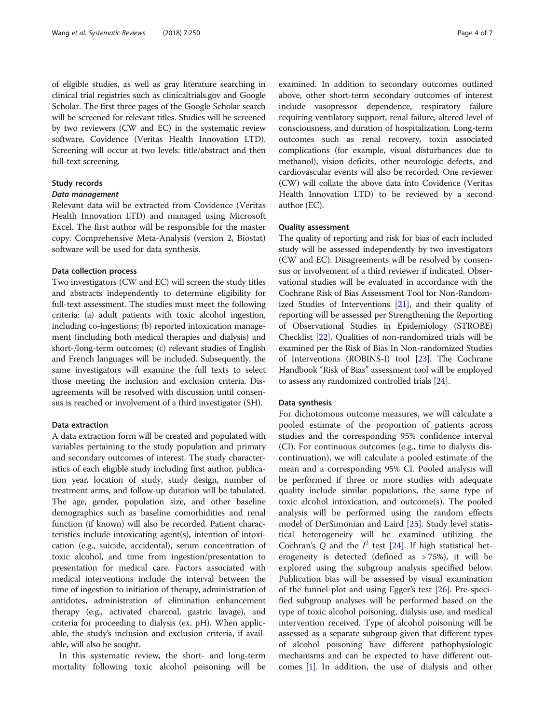of eligible studies, as well as gray literature searching in clinical trial registries such as clinicaltrials.gov and Google Scholar. The first three pages of the Google Scholar search will be screened for relevant titles. Studies will be screened by two reviewers (CW and EC) in the systematic review software, Covidence (Veritas Health Innovation LTD). Screening will occur at two levels: title/abstract and then full-text screening.

#### Study records

Relevant data will be extracted from Covidence (Veritas Health Innovation LTD) and managed using Microsoft Excel. The first author will be responsible for the master copy. Comprehensive Meta-Analysis (version 2, Biostat) software will be used for data synthesis.

#### Data collection process

Two investigators (CW and EC) will screen the study titles and abstracts independently to determine eligibility for full-text assessment. The studies must meet the following criteria: (a) adult patients with toxic alcohol ingestion, including co-ingestions; (b) reported intoxication management (including both medical therapies and dialysis) and short-/long-term outcomes; (c) relevant studies of English and French languages will be included. Subsequently, the same investigators will examine the full texts to select those meeting the inclusion and exclusion criteria. Disagreements will be resolved with discussion until consensus is reached or involvement of a third investigator (SH).

#### Data extraction

A data extraction form will be created and populated with variables pertaining to the study population and primary and secondary outcomes of interest. The study characteristics of each eligible study including first author, publication year, location of study, study design, number of treatment arms, and follow-up duration will be tabulated. The age, gender, population size, and other baseline demographics such as baseline comorbidities and renal function (if known) will also be recorded. Patient characteristics include intoxicating agent(s), intention of intoxication (e.g., suicide, accidental), serum concentration of toxic alcohol, and time from ingestion/presentation to presentation for medical care. Factors associated with medical interventions include the interval between the time of ingestion to initiation of therapy, administration of antidotes, administration of elimination enhancement therapy (e.g., activated charcoal, gastric lavage), and criteria for proceeding to dialysis (ex. pH). When applicable, the study's inclusion and exclusion criteria, if available, will also be sought.

In this systematic review, the short- and long-term mortality following toxic alcohol poisoning will be examined. In addition to secondary outcomes outlined above, other short-term secondary outcomes of interest include vasopressor dependence, respiratory failure requiring ventilatory support, renal failure, altered level of consciousness, and duration of hospitalization. Long-term outcomes such as renal recovery, toxin associated complications (for example, visual disturbances due to methanol), vision deficits, other neurologic defects, and cardiovascular events will also be recorded. One reviewer (CW) will collate the above data into Covidence (Veritas Health Innovation LTD) to be reviewed by a second author (EC).

#### Quality assessment

The quality of reporting and risk for bias of each included study will be assessed independently by two investigators (CW and EC). Disagreements will be resolved by consensus or involvement of a third reviewer if indicated. Observational studies will be evaluated in accordance with the Cochrane Risk of Bias Assessment Tool for Non-Randomized Studies of Interventions [[21](#page-5-0)], and their quality of reporting will be assessed per Strengthening the Reporting of Observational Studies in Epidemiology (STROBE) Checklist [\[22](#page-5-0)]. Qualities of non-randomized trials will be examined per the Risk of Bias In Non-randomized Studies of Interventions (ROBINS-I) tool [\[23\]](#page-6-0). The Cochrane Handbook "Risk of Bias" assessment tool will be employed to assess any randomized controlled trials [\[24\]](#page-6-0).

#### Data synthesis

For dichotomous outcome measures, we will calculate a pooled estimate of the proportion of patients across studies and the corresponding 95% confidence interval (CI). For continuous outcomes (e.g., time to dialysis discontinuation), we will calculate a pooled estimate of the mean and a corresponding 95% CI. Pooled analysis will be performed if three or more studies with adequate quality include similar populations, the same type of toxic alcohol intoxication, and outcome(s). The pooled analysis will be performed using the random effects model of DerSimonian and Laird [[25\]](#page-6-0). Study level statistical heterogeneity will be examined utilizing the Cochran's Q and the  $I^2$  test [[24\]](#page-6-0). If high statistical heterogeneity is detected (defined as > 75%), it will be explored using the subgroup analysis specified below. Publication bias will be assessed by visual examination of the funnel plot and using Egger's test [[26\]](#page-6-0). Pre-specified subgroup analyses will be performed based on the type of toxic alcohol poisoning, dialysis use, and medical intervention received. Type of alcohol poisoning will be assessed as a separate subgroup given that different types of alcohol poisoning have different pathophysiologic mechanisms and can be expected to have different outcomes [\[1](#page-5-0)]. In addition, the use of dialysis and other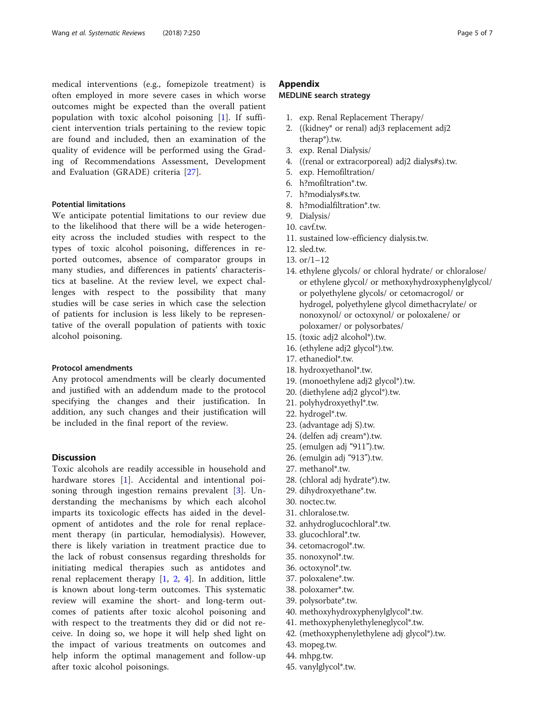<span id="page-4-0"></span>medical interventions (e.g., fomepizole treatment) is often employed in more severe cases in which worse outcomes might be expected than the overall patient population with toxic alcohol poisoning [[1\]](#page-5-0). If sufficient intervention trials pertaining to the review topic are found and included, then an examination of the quality of evidence will be performed using the Grading of Recommendations Assessment, Development and Evaluation (GRADE) criteria [\[27](#page-6-0)].

#### Potential limitations

We anticipate potential limitations to our review due to the likelihood that there will be a wide heterogeneity across the included studies with respect to the types of toxic alcohol poisoning, differences in reported outcomes, absence of comparator groups in many studies, and differences in patients' characteristics at baseline. At the review level, we expect challenges with respect to the possibility that many studies will be case series in which case the selection of patients for inclusion is less likely to be representative of the overall population of patients with toxic alcohol poisoning.

#### Protocol amendments

Any protocol amendments will be clearly documented and justified with an addendum made to the protocol specifying the changes and their justification. In addition, any such changes and their justification will be included in the final report of the review.

#### Discussion

Toxic alcohols are readily accessible in household and hardware stores [[1\]](#page-5-0). Accidental and intentional poisoning through ingestion remains prevalent [\[3](#page-5-0)]. Understanding the mechanisms by which each alcohol imparts its toxicologic effects has aided in the development of antidotes and the role for renal replacement therapy (in particular, hemodialysis). However, there is likely variation in treatment practice due to the lack of robust consensus regarding thresholds for initiating medical therapies such as antidotes and renal replacement therapy [[1](#page-5-0), [2,](#page-5-0) [4](#page-5-0)]. In addition, little is known about long-term outcomes. This systematic review will examine the short- and long-term outcomes of patients after toxic alcohol poisoning and with respect to the treatments they did or did not receive. In doing so, we hope it will help shed light on the impact of various treatments on outcomes and help inform the optimal management and follow-up after toxic alcohol poisonings.

#### Appendix

### MEDLINE search strategy

- 1. exp. Renal Replacement Therapy/
- 2. ((kidney\* or renal) adj3 replacement adj2 therap\*).tw.
- 3. exp. Renal Dialysis/
- $((\text{real or extracorpored}) \text{adj2 dialys} \# \text{s}).$ tw.
- 5. exp. Hemofiltration/
- 6. h?mofiltration\*.tw.
- 7. h?modialys#s.tw.
- 8. h?modialfiltration\*.tw.
- 9. Dialysis/
- 10. cavf.tw.
- 11. sustained low-efficiency dialysis.tw.
- 12. sled.tw.
- 13. or/1–12
- 14. ethylene glycols/ or chloral hydrate/ or chloralose/ or ethylene glycol/ or methoxyhydroxyphenylglycol/ or polyethylene glycols/ or cetomacrogol/ or hydrogel, polyethylene glycol dimethacrylate/ or nonoxynol/ or octoxynol/ or poloxalene/ or poloxamer/ or polysorbates/
- 15. (toxic adj2 alcohol\*).tw.
- 16. (ethylene adj2 glycol\*).tw.
- 17. ethanediol\*.tw.
- 18. hydroxyethanol\*.tw.
- 19. (monoethylene adj2 glycol\*).tw.
- 20. (diethylene adj2 glycol\*).tw.
- 21. polyhydroxyethyl\*.tw.
- 22. hydrogel\*.tw.
- 23. (advantage adj S).tw.
- 24. (delfen adj cream\*).tw.
- 25. (emulgen adj "911").tw.
- 26. (emulgin adj "913").tw.
- 27. methanol\*.tw.
- 28. (chloral adj hydrate\*).tw.
- 29. dihydroxyethane\*.tw.
- 30. noctec.tw.
- 31. chloralose.tw.
- 32. anhydroglucochloral\*.tw.
- 33. glucochloral\*.tw.
- 34. cetomacrogol\*.tw.
- 35. nonoxynol\*.tw.
- 36. octoxynol\*.tw.
- 37. poloxalene\*.tw.
- 38. poloxamer\*.tw.
- 39. polysorbate\*.tw.
- 40. methoxyhydroxyphenylglycol\*.tw.
- 41. methoxyphenylethyleneglycol\*.tw.
- 42. (methoxyphenylethylene adj glycol\*).tw.
- 43. mopeg.tw.
- 44. mhpg.tw.
- 45. vanylglycol\*.tw.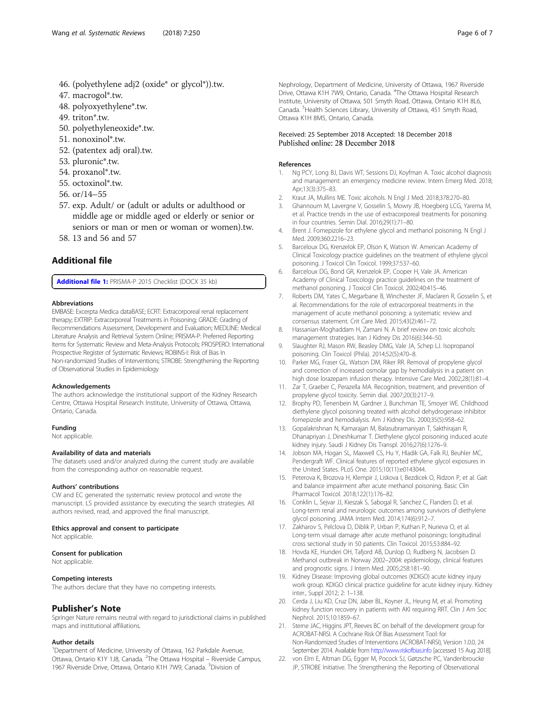- <span id="page-5-0"></span>46. (polyethylene adj2 (oxide\* or glycol\*)).tw.
- 47. macrogol\*.tw.
- 48. polyoxyethylene\*.tw.
- 49. triton\*.tw.
- 50. polyethyleneoxide\*.tw.
- 51. nonoxinol\*.tw.
- 52. (patentex adj oral).tw.
- 53. pluronic\*.tw.
- 54. proxanol\*.tw.
- 55. octoxinol\*.tw.
- 56. or/14–55
- 57. exp. Adult/ or (adult or adults or adulthood or middle age or middle aged or elderly or senior or seniors or man or men or woman or women).tw.
- 58. 13 and 56 and 57

### Additional file

[Additional file 1:](https://doi.org/10.1186/s13643-018-0926-z) PRISMA-P 2015 Checklist (DOCX 35 kb)

#### Abbreviations

EMBASE: Excerpta Medica dataBASE; ECRT: Extracorporeal renal replacement therapy; EXTRIP: Extracorporeal Treatments in Poisoning; GRADE: Grading of Recommendations Assessment, Development and Evaluation; MEDLINE: Medical Literature Analysis and Retrieval System Online; PRISMA-P: Preferred Reporting Items for Systematic Review and Meta-Analysis Protocols; PROSPERO: International Prospective Register of Systematic Reviews; ROBINS-I: Risk of Bias In Non-randomized Studies of Interventions; STROBE: Strengthening the Reporting of Observational Studies in Epidemiology

#### Acknowledgements

The authors acknowledge the institutional support of the Kidney Research Centre, Ottawa Hospital Research Institute, University of Ottawa, Ottawa, Ontario, Canada.

#### Funding

Not applicable.

#### Availability of data and materials

The datasets used and/or analyzed during the current study are available from the corresponding author on reasonable request.

#### Authors' contributions

CW and EC generated the systematic review protocol and wrote the manuscript. LS provided assistance by executing the search strategies. All authors revised, read, and approved the final manuscript.

#### Ethics approval and consent to participate

Not applicable.

#### Consent for publication

Not applicable.

#### Competing interests

The authors declare that they have no competing interests.

#### Publisher's Note

Springer Nature remains neutral with regard to jurisdictional claims in published maps and institutional affiliations.

#### Author details

<sup>1</sup>Department of Medicine, University of Ottawa, 162 Parkdale Avenue, Ottawa, Ontario K1Y 1J8, Canada. <sup>2</sup>The Ottawa Hospital – Riverside Campus, 1967 Riverside Drive, Ottawa, Ontario K1H 7W9, Canada. <sup>3</sup>Division of

Nephrology, Department of Medicine, University of Ottawa, 1967 Riverside Drive, Ottawa K1H 7W9, Ontario, Canada. <sup>4</sup>The Ottawa Hospital Research Institute, University of Ottawa, 501 Smyth Road, Ottawa, Ontario K1H 8L6, Canada. <sup>5</sup>Health Sciences Library, University of Ottawa, 451 Smyth Road, Ottawa K1H 8M5, Ontario, Canada.

#### Received: 25 September 2018 Accepted: 18 December 2018 Published online: 28 December 2018

#### References

- 1. Ng PCY, Long BJ, Davis WT, Sessions DJ, Koyfman A. Toxic alcohol diagnosis and management: an emergency medicine review. Intern Emerg Med. 2018; Apr;13(3):375–83.
- 2. Kraut JA, Mullins ME. Toxic alcohols. N Engl J Med. 2018;378:270–80.
- 3. Ghannoum M, Lavergne V, Gosselin S, Mowry JB, Hoegberg LCG, Yarema M, et al. Practice trends in the use of extracorporeal treatments for poisoning in four countries. Semin Dial. 2016;29(1):71–80.
- 4. Brent J. Fomepizole for ethylene glycol and methanol poisoning. N Engl J Med. 2009;360:2216–23.
- 5. Barceloux DG, Krenzelok EP, Olson K, Watson W. American Academy of Clinical Toxicology practice guidelines on the treatment of ethylene glycol poisoning. J Toxicol Clin Toxicol. 1999;37:537–60.
- 6. Barceloux DG, Bond GR, Krenzelok EP, Cooper H, Vale JA. American Academy of Clinical Toxicology practice guidelines on the treatment of methanol poisoning. J Toxicol Clin Toxicol. 2002;40:415–46.
- 7. Roberts DM, Yates C, Megarbane B, Winchester JF, Maclaren R, Gosselin S, et al. Recommendations for the role of extracorporeal treatments in the management of acute methanol poisoning: a systematic review and consensus statement. Crit Care Med. 2015;43(2):461–72.
- 8. Hassanian-Moghaddam H, Zamani N. A brief review on toxic alcohols: management strategies. Iran J Kidney Dis 2016(6):344–50.
- 9. Slaughter RJ, Mason RW, Beasley DMG, Vale JA, Schep LJ. Isopropanol poisoning. Clin Toxicol (Phila). 2014;52(5):470–8.
- 10. Parker MG, Fraser GL, Watson DM, Riker RR. Removal of propylene glycol and correction of increased osmolar gap by hemodialysis in a patient on high dose lorazepam infusion therapy. Intensive Care Med. 2002;28(1):81–4.
- 11. Zar T, Graeber C, Perazella MA. Recognition, treatment, and prevention of propylene glycol toxicity. Semin dial. 2007;20(3):217–9.
- 12. Brophy PD, Tenenbein M, Gardner J, Bunchman TE, Smoyer WE. Childhood diethylene glycol poisoning treated with alcohol dehydrogenase inhibitor fomepizole and hemodialysis. Am J Kidney Dis. 2000;35(5):958–62.
- 13. Gopalakrishnan N, Kamarajan M, Balasubramaniyan T, Sakthirajan R, Dhanapriyan J, Dineshkumar T. Diethylene glycol poisoning induced acute kidney injury. Saudi J Kidney Dis Transpl. 2016;27(6):1276–9.
- 14. Jobson MA, Hogan SL, Maxwell CS, Hu Y, Hladik GA, Falk RJ, Beuhler MC, Pendergraft WF. Clinical features of reported ethylene glycol exposures in the United States. PLoS One. 2015;10(11):e0143044.
- 15. Peterova K, Brozova H, Klempir J, Liskova I, Bezdicek O, Ridzon P, et al. Gait and balance impairment after acute methanol poisoning. Basic Clin Pharmacol Toxicol. 2018;122(1):176–82.
- 16. Conklin L, Sejvar JJ, Kieszak S, Sabogal R, Sanchez C, Flanders D, et al. Long-term renal and neurologic outcomes among survivors of diethylene glycol poisoning. JAMA Intern Med. 2014;174(6):912–7.
- 17. Zakharov S, Pelclova D, Diblik P, Urban P, Kuthan P, Nurieva O, et al. Long-term visual damage after acute methanol poisonings: longitudinal cross sectional study in 50 patients. Clin Toxicol. 2015;53:884–92.
- 18. Hovda KE, Hunderi OH, Tafjord AB, Dunlop O, Rudberg N, Jacobsen D. Methanol outbreak in Norway 2002–2004: epidemiology, clinical features and prognostic signs. J Intern Med. 2005;258:181–90.
- 19. Kidney Disease: Improving global outcomes (KDIGO) acute kidney injury work group. KDIGO clinical practice guideline for acute kidney injury. Kidney inter., Suppl 2012; 2: 1–138.
- 20. Cerda J, Liu KD, Cruz DN, Jaber BL, Koyner JL, Heung M, et al. Promoting kidney function recovery in patients with AKI requiring RRT. Clin J Am Soc Nephrol. 2015;10:1859–67.
- 21. Sterne JAC, Higgins JPT, Reeves BC on behalf of the development group for ACROBAT-NRSI. A Cochrane Risk Of Bias Assessment Tool: for Non-Randomized Studies of Interventions (ACROBAT-NRSI), Version 1.0.0, 24 September 2014. Available from <http://www.riskofbias.info> [accessed 15 Aug 2018].
- 22. von Elm E, Altman DG, Egger M, Pocock SJ, Gøtzsche PC, Vandenbroucke JP, STROBE Initiative. The Strengthening the Reporting of Observational